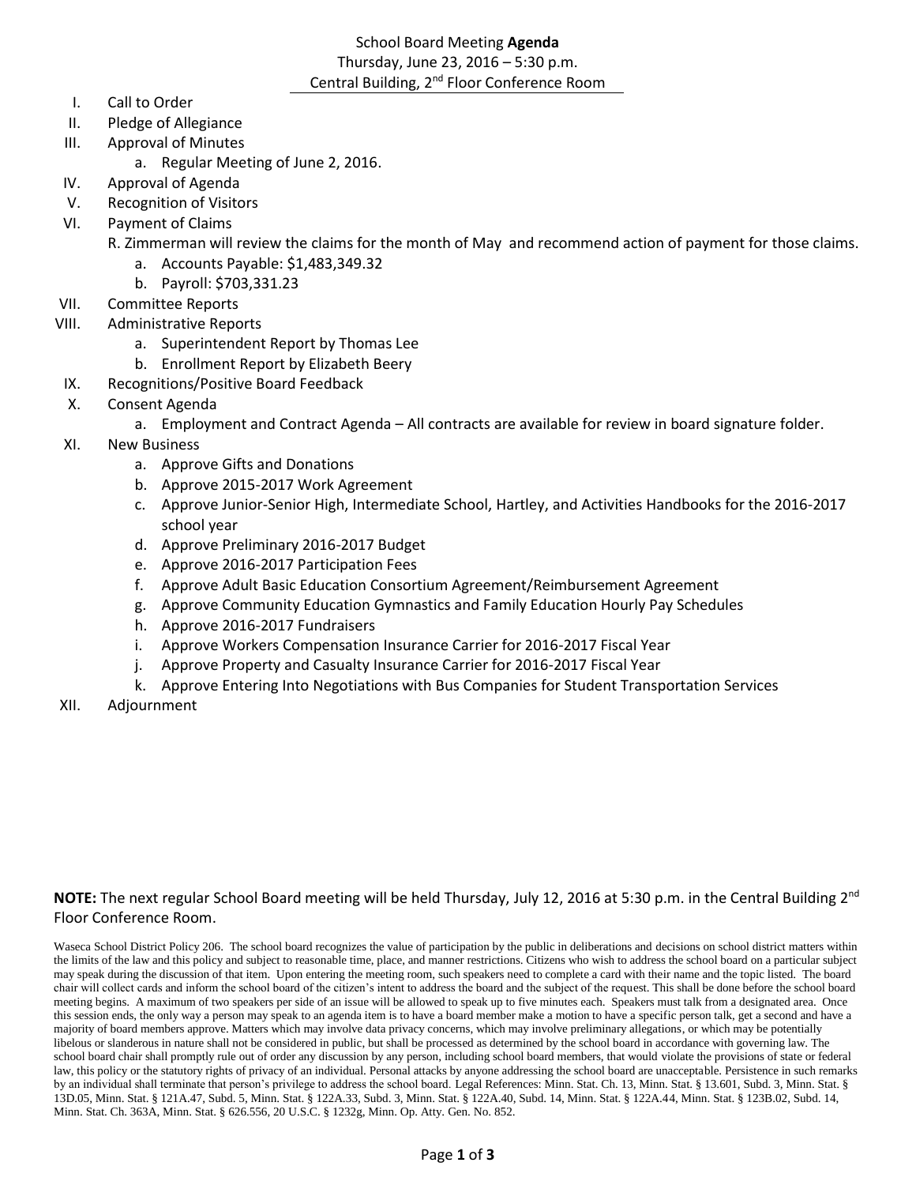# School Board Meeting **Agenda** Thursday, June 23, 2016 – 5:30 p.m. Central Building, 2nd Floor Conference Room

- I. Call to Order
- II. Pledge of Allegiance
- III. Approval of Minutes
	- a. Regular Meeting of June 2, 2016.
- IV. Approval of Agenda
- V. Recognition of Visitors
- VI. Payment of Claims
	- R. Zimmerman will review the claims for the month of May and recommend action of payment for those claims.
		- a. Accounts Payable: \$1,483,349.32
		- b. Payroll: \$703,331.23
- VII. Committee Reports
- VIII. Administrative Reports
	- a. Superintendent Report by Thomas Lee
	- b. Enrollment Report by Elizabeth Beery
- IX. Recognitions/Positive Board Feedback
- X. Consent Agenda
	- a. Employment and Contract Agenda All contracts are available for review in board signature folder.
- XI. New Business
	- a. Approve Gifts and Donations
	- b. Approve 2015-2017 Work Agreement
	- c. Approve Junior-Senior High, Intermediate School, Hartley, and Activities Handbooks for the 2016-2017 school year
	- d. Approve Preliminary 2016-2017 Budget
	- e. Approve 2016-2017 Participation Fees
	- f. Approve Adult Basic Education Consortium Agreement/Reimbursement Agreement
	- g. Approve Community Education Gymnastics and Family Education Hourly Pay Schedules
	- h. Approve 2016-2017 Fundraisers
	- i. Approve Workers Compensation Insurance Carrier for 2016-2017 Fiscal Year
	- j. Approve Property and Casualty Insurance Carrier for 2016-2017 Fiscal Year
	- k. Approve Entering Into Negotiations with Bus Companies for Student Transportation Services
- XII. Adjournment

# **NOTE:** The next regular School Board meeting will be held Thursday, July 12, 2016 at 5:30 p.m. in the Central Building 2<sup>nd</sup> Floor Conference Room.

Waseca School District Policy 206. The school board recognizes the value of participation by the public in deliberations and decisions on school district matters within the limits of the law and this policy and subject to reasonable time, place, and manner restrictions. Citizens who wish to address the school board on a particular subject may speak during the discussion of that item. Upon entering the meeting room, such speakers need to complete a card with their name and the topic listed. The board chair will collect cards and inform the school board of the citizen's intent to address the board and the subject of the request. This shall be done before the school board meeting begins. A maximum of two speakers per side of an issue will be allowed to speak up to five minutes each. Speakers must talk from a designated area. Once this session ends, the only way a person may speak to an agenda item is to have a board member make a motion to have a specific person talk, get a second and have a majority of board members approve. Matters which may involve data privacy concerns, which may involve preliminary allegations, or which may be potentially libelous or slanderous in nature shall not be considered in public, but shall be processed as determined by the school board in accordance with governing law. The school board chair shall promptly rule out of order any discussion by any person, including school board members, that would violate the provisions of state or federal law, this policy or the statutory rights of privacy of an individual. Personal attacks by anyone addressing the school board are unacceptable. Persistence in such remarks by an individual shall terminate that person's privilege to address the school board. Legal References: Minn. Stat. Ch. 13, Minn. Stat. § 13.601, Subd. 3, Minn. Stat. § 13D.05, Minn. Stat. § 121A.47, Subd. 5, Minn. Stat. § 122A.33, Subd. 3, Minn. Stat. § 122A.40, Subd. 14, Minn. Stat. § 122A.44, Minn. Stat. § 123B.02, Subd. 14, Minn. Stat. Ch. 363A, Minn. Stat. § 626.556, 20 U.S.C. § 1232g, Minn. Op. Atty. Gen. No. 852.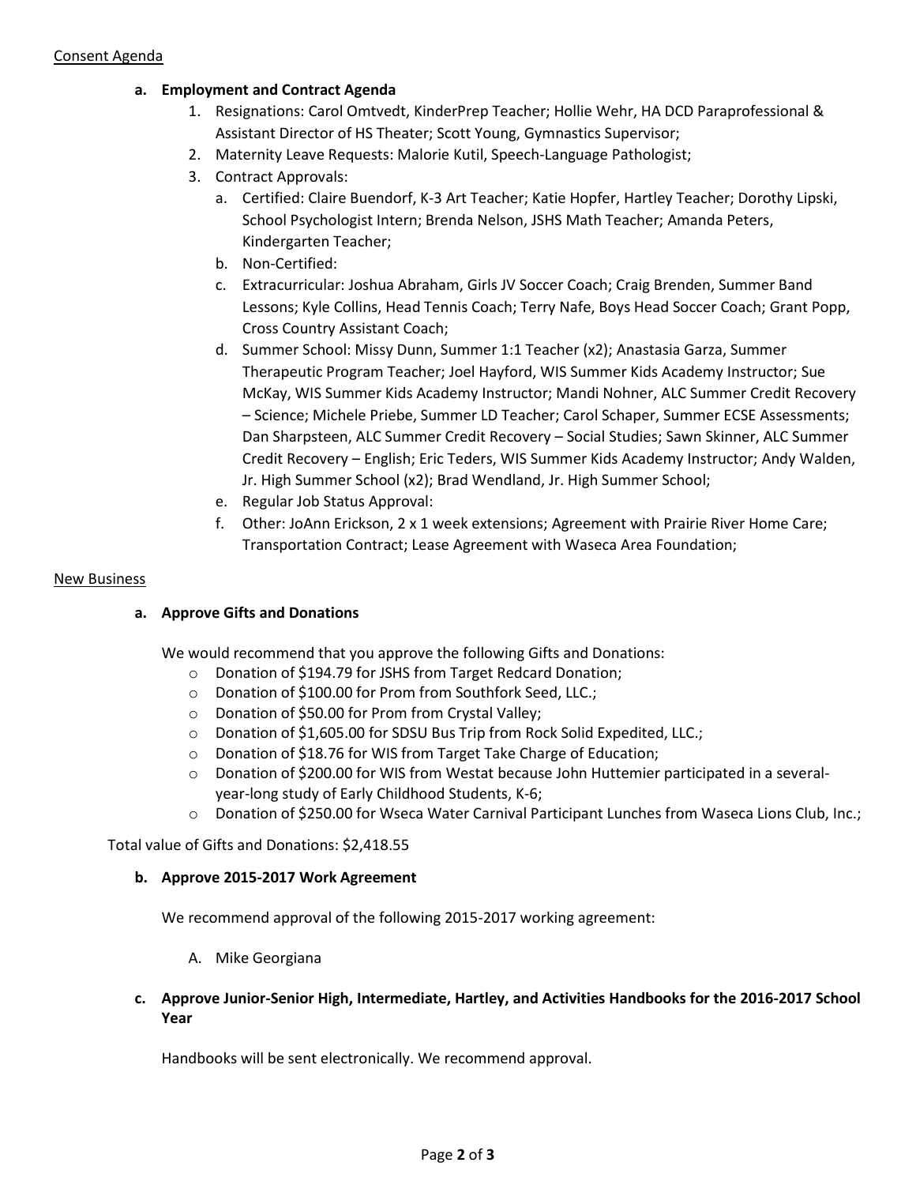# **a. Employment and Contract Agenda**

- 1. Resignations: Carol Omtvedt, KinderPrep Teacher; Hollie Wehr, HA DCD Paraprofessional & Assistant Director of HS Theater; Scott Young, Gymnastics Supervisor;
- 2. Maternity Leave Requests: Malorie Kutil, Speech-Language Pathologist;
- 3. Contract Approvals:
	- a. Certified: Claire Buendorf, K-3 Art Teacher; Katie Hopfer, Hartley Teacher; Dorothy Lipski, School Psychologist Intern; Brenda Nelson, JSHS Math Teacher; Amanda Peters, Kindergarten Teacher;
	- b. Non-Certified:
	- c. Extracurricular: Joshua Abraham, Girls JV Soccer Coach; Craig Brenden, Summer Band Lessons; Kyle Collins, Head Tennis Coach; Terry Nafe, Boys Head Soccer Coach; Grant Popp, Cross Country Assistant Coach;
	- d. Summer School: Missy Dunn, Summer 1:1 Teacher (x2); Anastasia Garza, Summer Therapeutic Program Teacher; Joel Hayford, WIS Summer Kids Academy Instructor; Sue McKay, WIS Summer Kids Academy Instructor; Mandi Nohner, ALC Summer Credit Recovery – Science; Michele Priebe, Summer LD Teacher; Carol Schaper, Summer ECSE Assessments; Dan Sharpsteen, ALC Summer Credit Recovery – Social Studies; Sawn Skinner, ALC Summer Credit Recovery – English; Eric Teders, WIS Summer Kids Academy Instructor; Andy Walden, Jr. High Summer School (x2); Brad Wendland, Jr. High Summer School;
	- e. Regular Job Status Approval:
	- f. Other: JoAnn Erickson, 2 x 1 week extensions; Agreement with Prairie River Home Care; Transportation Contract; Lease Agreement with Waseca Area Foundation;

### New Business

# **a. Approve Gifts and Donations**

We would recommend that you approve the following Gifts and Donations:

- o Donation of \$194.79 for JSHS from Target Redcard Donation;
- o Donation of \$100.00 for Prom from Southfork Seed, LLC.;
- o Donation of \$50.00 for Prom from Crystal Valley;
- o Donation of \$1,605.00 for SDSU Bus Trip from Rock Solid Expedited, LLC.;
- o Donation of \$18.76 for WIS from Target Take Charge of Education;
- o Donation of \$200.00 for WIS from Westat because John Huttemier participated in a severalyear-long study of Early Childhood Students, K-6;
- o Donation of \$250.00 for Wseca Water Carnival Participant Lunches from Waseca Lions Club, Inc.;

Total value of Gifts and Donations: \$2,418.55

# **b. Approve 2015-2017 Work Agreement**

We recommend approval of the following 2015-2017 working agreement:

A. Mike Georgiana

# **c. Approve Junior-Senior High, Intermediate, Hartley, and Activities Handbooks for the 2016-2017 School Year**

Handbooks will be sent electronically. We recommend approval.